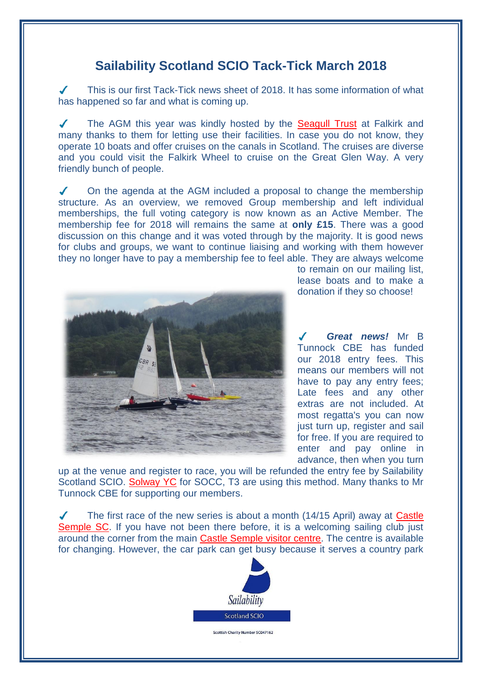## **Sailability Scotland SCIO Tack-Tick March 2018**

This is our first Tack-Tick news sheet of 2018. It has some information of what has happened so far and what is coming up.

 $\checkmark$ The AGM this year was kindly hosted by the [Seagull Trust](http://www.seagulltrust.org.uk/) at Falkirk and many thanks to them for letting use their facilities. In case you do not know, they operate 10 boats and offer cruises on the canals in Scotland. The cruises are diverse and you could visit the Falkirk Wheel to cruise on the Great Glen Way. A very friendly bunch of people.

 $\checkmark$ On the agenda at the AGM included a proposal to change the membership structure. As an overview, we removed Group membership and left individual memberships, the full voting category is now known as an Active Member. The membership fee for 2018 will remains the same at **only £15**. There was a good discussion on this change and it was voted through by the majority. It is good news for clubs and groups, we want to continue liaising and working with them however they no longer have to pay a membership fee to feel able. They are always welcome



to remain on our mailing list, lease boats and to make a donation if they so choose!

*Great news!* Mr B Tunnock CBE has funded our 2018 entry fees. This means our members will not have to pay any entry fees; Late fees and any other extras are not included. At most regatta's you can now just turn up, register and sail for free. If you are required to enter and pay online in advance, then when you turn

up at the venue and register to race, you will be refunded the entry fee by Sailability Scotland SCIO. [Solway YC](https://webcollect.org.uk/syc/event/sailability-scotland-tt-challenger-class-regatta-2018) for SOCC, T3 are using this method. Many thanks to Mr Tunnock CBE for supporting our members.

 $\checkmark$ The first race of the new series is about a month (14/15 April) away at [Castle](https://www.castlesemplesc.co.uk/)  [Semple SC.](https://www.castlesemplesc.co.uk/) If you have not been there before, it is a welcoming sailing club just around the corner from the main [Castle Semple visitor centre.](http://clydemuirshiel.co.uk/park-sites/castle-semple/) The centre is available for changing. However, the car park can get busy because it serves a country park